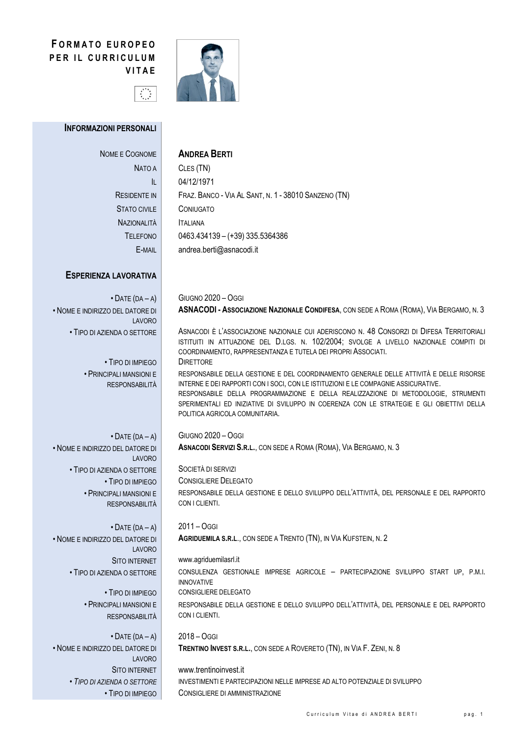# **FORMATO EUROPEO** PER IL CURRICULUM **VITAE**



#### **INFORMAZIONI PERSONALI**

| NOME E COGNOME     |  |
|--------------------|--|
| Nato a             |  |
| lı.                |  |
| RESIDENTE IN       |  |
| STATO CIVII F      |  |
| <b>NAZIONALITÀ</b> |  |
| <b>TELEFONO</b>    |  |
| E-MAIL             |  |

## **ANDREA BERTI**

CLES (TN) 04/12/1971 FRAZ. BANCO - VIA AL SANT, N. 1 - 38010 SANZENO (TN) CONIUGATO **ITALIANA**  $0463.434139 - (+39)335.5364386$ andrea.berti@asnacodi.it

### **ESPERIENZA LAVORATIVA**

 $\bullet$  DATE (DA - A) . NOME E INDIRIZZO DEL DATORE DI LAVORO . TIPO DI AZIENDA O SETTORE

> • TIPO DI IMPIFGO · PRINCIPAL I MANSIONI F RESPONSARILITÀ

 $\cdot$  DATE (DA - A) . NOME E INDIRIZZO DEL DATORE DI LAVORO • TIPO DI AZIENDA O SETTORE • TIPO DI IMPIEGO · PRINCIPALI MANSIONI E **RESPONSABILITÀ** 

 $\cdot$  DATE (DA - A) . NOME E INDIRIZZO DEL DATORE DI **LAVORO SITO INTERNET** • TIPO DI AZIENDA O SETTORE

> • TIPO DI IMPIFGO · PRINCIPALI MANSIONI E **RESPONSABILITÀ**

 $\cdot$  DATE (DA - A) • NOME E INDIRIZZO DEL DATORE DI LAVORO **SITO INTERNET** • TIPO DI AZIENDA O SETTORE • TIPO DI IMPIEGO **GIUGNO 2020 - OGGI** ASNACODI - ASSOCIAZIONE NAZIONALE CONDIFESA, CON SEDE A ROMA (ROMA), VIA BERGAMO, N. 3

ASNACODI È L'ASSOCIAZIONE NAZIONALE CUI ADERISCONO N. 48 CONSORZI DI DIFESA TERRITORIALI ISTITUITI IN ATTUAZIONE DEL D.LGS. N. 102/2004: SVOLGE A LIVELLO NAZIONALE COMPITI DI COORDINAMENTO, RAPPRESENTANZA E TUTELA DEI PROPRI ASSOCIATI. **DIRETTORE** 

RESPONSABILE DELLA GESTIONE E DEL COORDINAMENTO GENERALE DELLE ATTIVITÀ E DELLE RISORSE INTERNE E DEI RAPPORTI CON I SOCI. CON LE ISTITUZIONI E LE COMPAGNIE ASSICURATIVE. RESPONSABILE DELLA PROGRAMMAZIONE E DELLA REALIZZAZIONE DI METODOLOGIE, STRUMENTI SPERIMENTALI ED INIZIATIVE DI SVILUPPO IN COERENZA CON LE STRATEGIE E GLI OBIETTIVI DELLA POLITICA AGRICOLA COMUNITARIA.

**GIUGNO 2020 - OGGI** ASNACODI SERVIZI S.R.L., CON SEDE A ROMA (ROMA), VIA BERGAMO, N. 3

SOCIETÀ DI SERVIZI **CONSIGLIERE DELEGATO** RESPONSABILE DELLA GESTIONE E DELLO SVILUPPO DELL'ATTIVITÀ, DEL PERSONALE E DEL RAPPORTO CON I CLIENTI.

 $2011 - OGG$ AGRIDUEMILA S.R.L., CON SEDE A TRENTO (TN), IN VIA KUFSTEIN, N. 2

www.agriduemilasrl.it

CON I CLIENTI.

CONSULENZA GESTIONALE IMPRESE AGRICOLE - PARTECIPAZIONE SVILUPPO START UP, P.M.I. INNOVATIVE CONSIGLIERE DELEGATO RESPONSABILE DELLA GESTIONE E DELLO SVILUPPO DELL'ATTIVITÀ, DEL PERSONALE E DEL RAPPORTO

 $2018 - OGGI$ TRENTINO INVEST S.R.L., CON SEDE A ROVERETO (TN), IN VIA F. ZENI, N. 8

www.trentinoinvest.it INVESTIMENTI E PARTECIPAZIONI NELLE IMPRESE AD ALTO POTENZIALE DI SVILUPPO CONSIGLIERE DI AMMINISTRAZIONE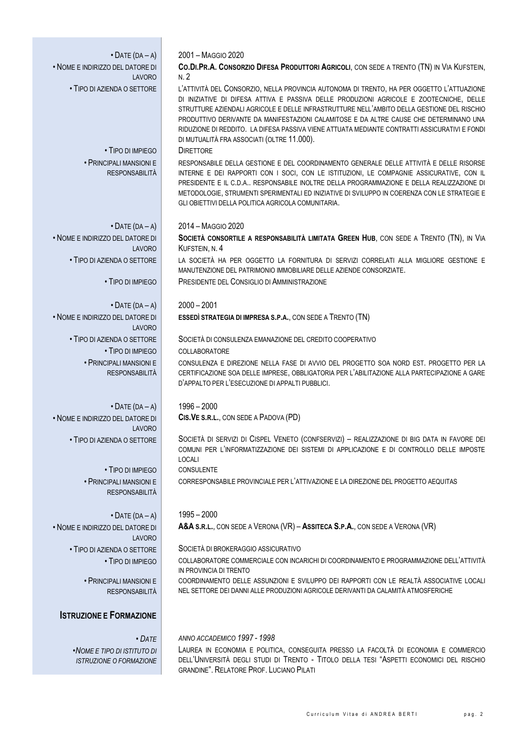| $\bullet$ DATE (DA - A)                                        | 2001 - MAGGIO 2020                                                                                                                                                                                                                                                                                                                                                                                                                                                                                                                 |
|----------------------------------------------------------------|------------------------------------------------------------------------------------------------------------------------------------------------------------------------------------------------------------------------------------------------------------------------------------------------------------------------------------------------------------------------------------------------------------------------------------------------------------------------------------------------------------------------------------|
| . NOME E INDIRIZZO DEL DATORE DI                               | CO.DI.PR.A. CONSORZIO DIFESA PRODUTTORI AGRICOLI, CON SEDE A TRENTO (TN) IN VIA KUFSTEIN,                                                                                                                                                                                                                                                                                                                                                                                                                                          |
| <b>LAVORO</b><br>• TIPO DI AZIENDA O SETTORE                   | N.2<br>L'ATTIVITÀ DEL CONSORZIO, NELLA PROVINCIA AUTONOMA DI TRENTO, HA PER OGGETTO L'ATTUAZIONE<br>DI INIZIATIVE DI DIFESA ATTIVA E PASSIVA DELLE PRODUZIONI AGRICOLE E ZOOTECNICHE, DELLE<br>STRUTTURE AZIENDALI AGRICOLE E DELLE INFRASTRUTTURE NELL'AMBITO DELLA GESTIONE DEL RISCHIO<br>PRODUTTIVO DERIVANTE DA MANIFESTAZIONI CALAMITOSE E DA ALTRE CAUSE CHE DETERMINANO UNA<br>RIDUZIONE DI REDDITO. LA DIFESA PASSIVA VIENE ATTUATA MEDIANTE CONTRATTI ASSICURATIVI E FONDI<br>DI MUTUALITÀ FRA ASSOCIATI (OLTRE 11.000). |
| • TIPO DI IMPIEGO                                              | <b>DIRETTORE</b>                                                                                                                                                                                                                                                                                                                                                                                                                                                                                                                   |
| · PRINCIPALI MANSIONI E<br><b>RESPONSABILITÀ</b>               | RESPONSABILE DELLA GESTIONE E DEL COORDINAMENTO GENERALE DELLE ATTIVITÀ E DELLE RISORSE<br>INTERNE E DEI RAPPORTI CON I SOCI, CON LE ISTITUZIONI, LE COMPAGNIE ASSICURATIVE, CON IL<br>PRESIDENTE E IL C.D.A., RESPONSABILE INOLTRE DELLA PROGRAMMAZIONE E DELLA REALIZZAZIONE DI<br>METODOLOGIE, STRUMENTI SPERIMENTALI ED INIZIATIVE DI SVILUPPO IN COERENZA CON LE STRATEGIE E<br>GLI OBIETTIVI DELLA POLITICA AGRICOLA COMUNITARIA.                                                                                            |
| $\bullet$ DATE (DA - A)                                        | 2014 - MAGGIO 2020                                                                                                                                                                                                                                                                                                                                                                                                                                                                                                                 |
| . NOME E INDIRIZZO DEL DATORE DI<br>LAVORO                     | SOCIETÀ CONSORTILE A RESPONSABILITÀ LIMITATA GREEN HUB, CON SEDE A TRENTO (TN), IN VIA<br>KUFSTEIN, N. 4                                                                                                                                                                                                                                                                                                                                                                                                                           |
| • TIPO DI AZIENDA O SETTORE                                    | LA SOCIETÀ HA PER OGGETTO LA FORNITURA DI SERVIZI CORRELATI ALLA MIGLIORE GESTIONE E<br>MANUTENZIONE DEL PATRIMONIO IMMOBILIARE DELLE AZIENDE CONSORZIATE.                                                                                                                                                                                                                                                                                                                                                                         |
| • TIPO DI IMPIEGO                                              | PRESIDENTE DEL CONSIGLIO DI AMMINISTRAZIONE                                                                                                                                                                                                                                                                                                                                                                                                                                                                                        |
| $\bullet$ DATE (DA - A)                                        | $2000 - 2001$                                                                                                                                                                                                                                                                                                                                                                                                                                                                                                                      |
| . NOME E INDIRIZZO DEL DATORE DI<br><b>LAVORO</b>              | ESSEDÌ STRATEGIA DI IMPRESA S.P.A., CON SEDE A TRENTO (TN)                                                                                                                                                                                                                                                                                                                                                                                                                                                                         |
| • TIPO DI AZIENDA O SETTORE                                    | SOCIETÀ DI CONSULENZA EMANAZIONE DEL CREDITO COOPERATIVO                                                                                                                                                                                                                                                                                                                                                                                                                                                                           |
| • TIPO DI IMPIEGO                                              | COLLABORATORE                                                                                                                                                                                                                                                                                                                                                                                                                                                                                                                      |
| • PRINCIPALI MANSIONI E<br><b>RESPONSABILITÀ</b>               | CONSULENZA E DIREZIONE NELLA FASE DI AVVIO DEL PROGETTO SOA NORD EST. PROGETTO PER LA<br>CERTIFICAZIONE SOA DELLE IMPRESE, OBBLIGATORIA PER L'ABILITAZIONE ALLA PARTECIPAZIONE A GARE<br>D'APPALTO PER L'ESECUZIONE DI APPALTI PUBBLICI.                                                                                                                                                                                                                                                                                           |
| $\bullet$ DATE (DA - A)                                        | $1996 - 2000$                                                                                                                                                                                                                                                                                                                                                                                                                                                                                                                      |
| . NOME E INDIRIZZO DEL DATORE DI<br>LAVORO                     | CIS. VE S.R.L., CON SEDE A PADOVA (PD)                                                                                                                                                                                                                                                                                                                                                                                                                                                                                             |
| • TIPO DI AZIENDA O SETTORE                                    | SOCIETÀ DI SERVIZI DI CISPEL VENETO (CONFSERVIZI) - REALIZZAZIONE DI BIG DATA IN FAVORE DEI<br>COMUNI PER L'INFORMATIZZAZIONE DEI SISTEMI DI APPLICAZIONE E DI CONTROLLO DELLE IMPOSTE<br><b>LOCALI</b>                                                                                                                                                                                                                                                                                                                            |
| • TIPO DI IMPIEGO                                              | CONSULENTE                                                                                                                                                                                                                                                                                                                                                                                                                                                                                                                         |
| • PRINCIPALI MANSIONI E<br><b>RESPONSABILITÀ</b>               | CORRESPONSABILE PROVINCIALE PER L'ATTIVAZIONE E LA DIREZIONE DEL PROGETTO AEQUITAS                                                                                                                                                                                                                                                                                                                                                                                                                                                 |
| $\bullet$ DATE (DA - A)                                        | $1995 - 2000$                                                                                                                                                                                                                                                                                                                                                                                                                                                                                                                      |
| . NOME E INDIRIZZO DEL DATORE DI<br>LAVORO                     | A&A S.R.L., CON SEDE A VERONA (VR) - ASSITECA S.P.A., CON SEDE A VERONA (VR)                                                                                                                                                                                                                                                                                                                                                                                                                                                       |
| • TIPO DI AZIENDA O SETTORE                                    | SOCIETÀ DI BROKERAGGIO ASSICURATIVO                                                                                                                                                                                                                                                                                                                                                                                                                                                                                                |
| • TIPO DI IMPIEGO                                              | COLLABORATORE COMMERCIALE CON INCARICHI DI COORDINAMENTO E PROGRAMMAZIONE DELL'ATTIVITÀ<br>IN PROVINCIA DI TRENTO                                                                                                                                                                                                                                                                                                                                                                                                                  |
| · PRINCIPALI MANSIONI E<br><b>RESPONSABILITÀ</b>               | COORDINAMENTO DELLE ASSUNZIONI E SVILUPPO DEI RAPPORTI CON LE REALTÀ ASSOCIATIVE LOCALI<br>NEL SETTORE DEI DANNI ALLE PRODUZIONI AGRICOLE DERIVANTI DA CALAMITÀ ATMOSFERICHE                                                                                                                                                                                                                                                                                                                                                       |
| <b>ISTRUZIONE E FORMAZIONE</b>                                 |                                                                                                                                                                                                                                                                                                                                                                                                                                                                                                                                    |
| $\cdot$ Date                                                   | ANNO ACCADEMICO 1997 - 1998                                                                                                                                                                                                                                                                                                                                                                                                                                                                                                        |
| • NOME E TIPO DI ISTITUTO DI<br><b>ISTRUZIONE O FORMAZIONE</b> | LAUREA IN ECONOMIA E POLITICA, CONSEGUITA PRESSO LA FACOLTÀ DI ECONOMIA E COMMERCIO<br>DELL'UNIVERSITÀ DEGLI STUDI DI TRENTO - TITOLO DELLA TESI "ASPETTI ECONOMICI DEL RISCHIO<br><b>GRANDINE". RELATORE PROF. LUCIANO PILATI</b>                                                                                                                                                                                                                                                                                                 |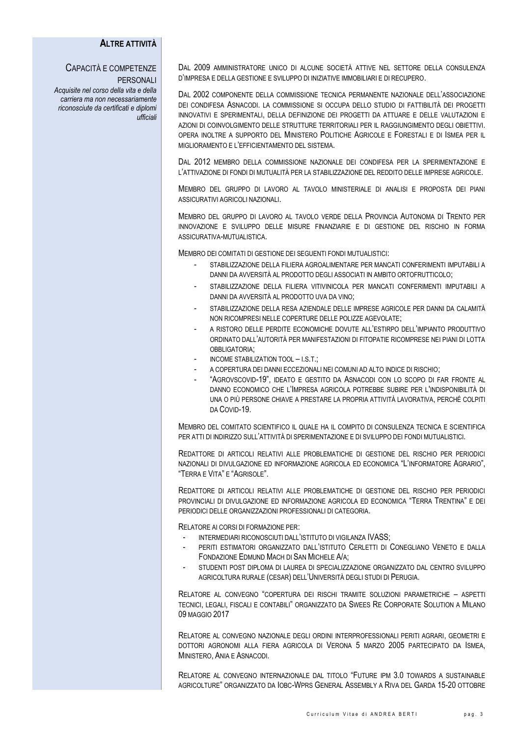#### **ALTRE ATTIVITÀ**

# CAPACITÀ E COMPETENZE

PERSONALI *Acquisite nel corso della vita e della carriera ma non necessariamente riconosciute da certificati e diplomi ufficiali*

DAL 2009 AMMINISTRATORE UNICO DI ALCUNE SOCIETÀ ATTIVE NEL SETTORE DELLA CONSULENZA D'IMPRESA E DELLA GESTIONE E SVILUPPO DI INIZIATIVE IMMOBILIARI E DI RECUPERO.

DAL 2002 COMPONENTE DELLA COMMISSIONE TECNICA PERMANENTE NAZIONALE DELL'ASSOCIAZIONE DEI CONDIFESA ASNACODI. LA COMMISSIONE SI OCCUPA DELLO STUDIO DI FATTIBILITÀ DEI PROGETTI INNOVATIVI E SPERIMENTALI, DELLA DEFINIZIONE DEI PROGETTI DA ATTUARE E DELLE VALUTAZIONI E AZIONI DI COINVOLGIMENTO DELLE STRUTTURE TERRITORIALI PER IL RAGGIUNGIMENTO DEGLI OBIETTIVI. OPERA INOLTRE A SUPPORTO DEL MINISTERO POLITICHE AGRICOLE E FORESTALI E DI ISMEA PER IL MIGLIORAMENTO E L'EFFICIENTAMENTO DEL SISTEMA.

DAL 2012 MEMBRO DELLA COMMISSIONE NAZIONALE DEI CONDIFESA PER LA SPERIMENTAZIONE E L'ATTIVAZIONE DI FONDI DI MUTUALITÀ PER LA STABILIZZAZIONE DEL REDDITO DELLE IMPRESE AGRICOLE.

MEMBRO DEL GRUPPO DI LAVORO AL TAVOLO MINISTERIALE DI ANALISI E PROPOSTA DEI PIANI ASSICURATIVI AGRICOLI NAZIONALI.

MEMBRO DEL GRUPPO DI LAVORO AL TAVOLO VERDE DELLA PROVINCIA AUTONOMA DI TRENTO PER INNOVAZIONE E SVILUPPO DELLE MISURE FINANZIARIE E DI GESTIONE DEL RISCHIO IN FORMA ASSICURATIVA-MUTUALISTICA.

MEMBRO DEI COMITATI DI GESTIONE DEI SEGUENTI FONDI MUTUALISTICI:

- STABILIZZAZIONE DELLA FILIERA AGROALIMENTARE PER MANCATI CONFERIMENTI IMPUTABILI A DANNI DA AVVERSITÀ AL PRODOTTO DEGLI ASSOCIATI IN AMBITO ORTOFRUTTICOLO;
- STABILIZZAZIONE DELLA FILIERA VITIVINICOLA PER MANCATI CONFERIMENTI IMPUTABILI A DANNI DA AVVERSITÀ AL PRODOTTO UVA DA VINO;
- STABILIZZAZIONE DELLA RESA AZIENDALE DELLE IMPRESE AGRICOLE PER DANNI DA CALAMITÀ NON RICOMPRESI NELLE COPERTURE DELLE POLIZZE AGEVOLATE;
- A RISTORO DELLE PERDITE ECONOMICHE DOVUTE ALL'ESTIRPO DELL'IMPIANTO PRODUTTIVO ORDINATO DALL'AUTORITÀ PER MANIFESTAZIONI DI FITOPATIE RICOMPRESE NEI PIANI DI LOTTA OBBLIGATORIA;
- INCOME STABILIZATION TOOL I.S.T.:
- A COPERTURA DEI DANNI ECCEZIONALI NEI COMUNI AD ALTO INDICE DI RISCHIO;
- "AGROVSCOVID-19", IDEATO E GESTITO DA ASNACODI CON LO SCOPO DI FAR FRONTE AL DANNO ECONOMICO CHE L'IMPRESA AGRICOLA POTREBBE SUBIRE PER L'INDISPONIBILITÀ DI UNA O PIÙ PERSONE CHIAVE A PRESTARE LA PROPRIA ATTIVITÀ LAVORATIVA, PERCHÉ COLPITI DA COVID-19.

MEMBRO DEL COMITATO SCIENTIFICO IL QUALE HA IL COMPITO DI CONSULENZA TECNICA E SCIENTIFICA PER ATTI DI INDIRIZZO SULL'ATTIVITÀ DI SPERIMENTAZIONE E DI SVILUPPO DEI FONDI MUTUALISTICI.

REDATTORE DI ARTICOLI RELATIVI ALLE PROBLEMATICHE DI GESTIONE DEL RISCHIO PER PERIODICI NAZIONALI DI DIVULGAZIONE ED INFORMAZIONE AGRICOLA ED ECONOMICA "L'INFORMATORE AGRARIO", "TERRA E VITA" E "AGRISOLE".

REDATTORE DI ARTICOLI RELATIVI ALLE PROBLEMATICHE DI GESTIONE DEL RISCHIO PER PERIODICI PROVINCIALI DI DIVULGAZIONE ED INFORMAZIONE AGRICOLA ED ECONOMICA "TERRA TRENTINA" E DEI PERIODICI DELLE ORGANIZZAZIONI PROFESSIONALI DI CATEGORIA.

RELATORE AI CORSI DI FORMAZIONE PER:

- INTERMEDIARI RICONOSCIUTI DALL'ISTITUTO DI VIGILANZA IVASS;
- PERITI ESTIMATORI ORGANIZZATO DALL'ISTITUTO CERLETTI DI CONEGLIANO VENETO E DALLA FONDAZIONE EDMUND MACH DI SAN MICHELE A/A;
- STUDENTI POST DIPLOMA DI LAUREA DI SPECIALIZZAZIONE ORGANIZZATO DAL CENTRO SVILUPPO AGRICOLTURA RURALE (CESAR) DELL'UNIVERSITÀ DEGLI STUDI DI PERUGIA.

RELATORE AL CONVEGNO "COPERTURA DEI RISCHI TRAMITE SOLUZIONI PARAMETRICHE – ASPETTI TECNICI, LEGALI, FISCALI E CONTABILI" ORGANIZZATO DA SWEES RE CORPORATE SOLUTION A MILANO 09 MAGGIO 2017

RELATORE AL CONVEGNO NAZIONALE DEGLI ORDINI INTERPROFESSIONALI PERITI AGRARI, GEOMETRI E DOTTORI AGRONOMI ALLA FIERA AGRICOLA DI VERONA 5 MARZO 2005 PARTECIPATO DA ISMEA, MINISTERO, ANIA E ASNACODI.

RELATORE AL CONVEGNO INTERNAZIONALE DAL TITOLO "FUTURE IPM 3.0 TOWARDS A SUSTAINABLE AGRICOLTURE" ORGANIZZATO DA IOBC-WPRS GENERAL ASSEMBLY A RIVA DEL GARDA 15-20 OTTOBRE